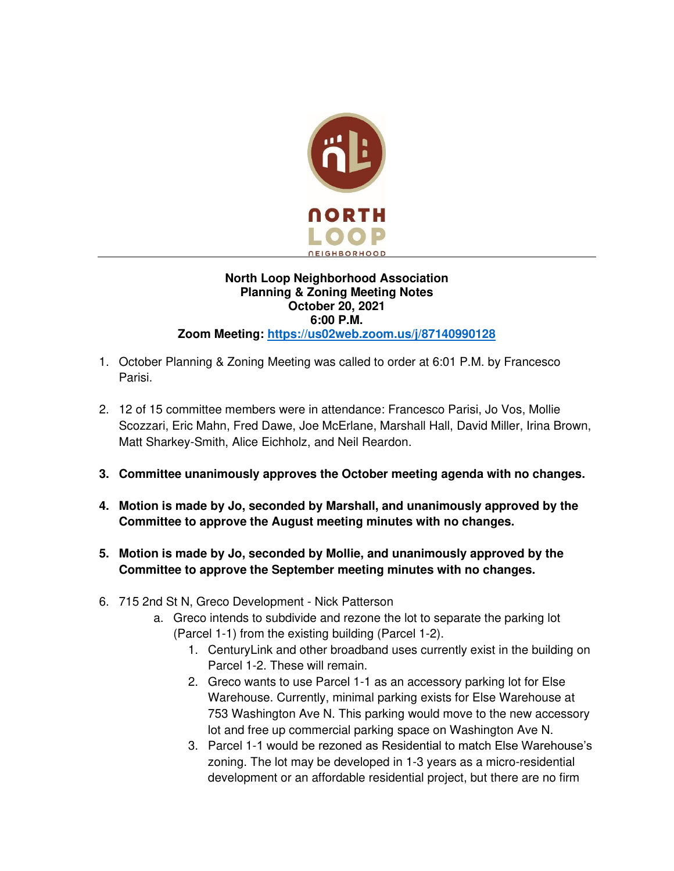

## **North Loop Neighborhood Association Planning & Zoning Meeting Notes October 20, 2021 6:00 P.M. Zoom Meeting: [https://us02web.zoom.us/j/87140990128](https://us02web.zoom.us/j/84074912308)**

- 1. October Planning & Zoning Meeting was called to order at 6:01 P.M. by Francesco Parisi.
- 2. 12 of 15 committee members were in attendance: Francesco Parisi, Jo Vos, Mollie Scozzari, Eric Mahn, Fred Dawe, Joe McErlane, Marshall Hall, David Miller, Irina Brown, Matt Sharkey-Smith, Alice Eichholz, and Neil Reardon.
- **3. Committee unanimously approves the October meeting agenda with no changes.**
- **4. Motion is made by Jo, seconded by Marshall, and unanimously approved by the Committee to approve the August meeting minutes with no changes.**
- **5. Motion is made by Jo, seconded by Mollie, and unanimously approved by the Committee to approve the September meeting minutes with no changes.**
- 6. 715 2nd St N, Greco Development Nick Patterson
	- a. Greco intends to subdivide and rezone the lot to separate the parking lot (Parcel 1-1) from the existing building (Parcel 1-2).
		- 1. CenturyLink and other broadband uses currently exist in the building on Parcel 1-2. These will remain.
		- 2. Greco wants to use Parcel 1-1 as an accessory parking lot for Else Warehouse. Currently, minimal parking exists for Else Warehouse at 753 Washington Ave N. This parking would move to the new accessory lot and free up commercial parking space on Washington Ave N.
		- 3. Parcel 1-1 would be rezoned as Residential to match Else Warehouse's zoning. The lot may be developed in 1-3 years as a micro-residential development or an affordable residential project, but there are no firm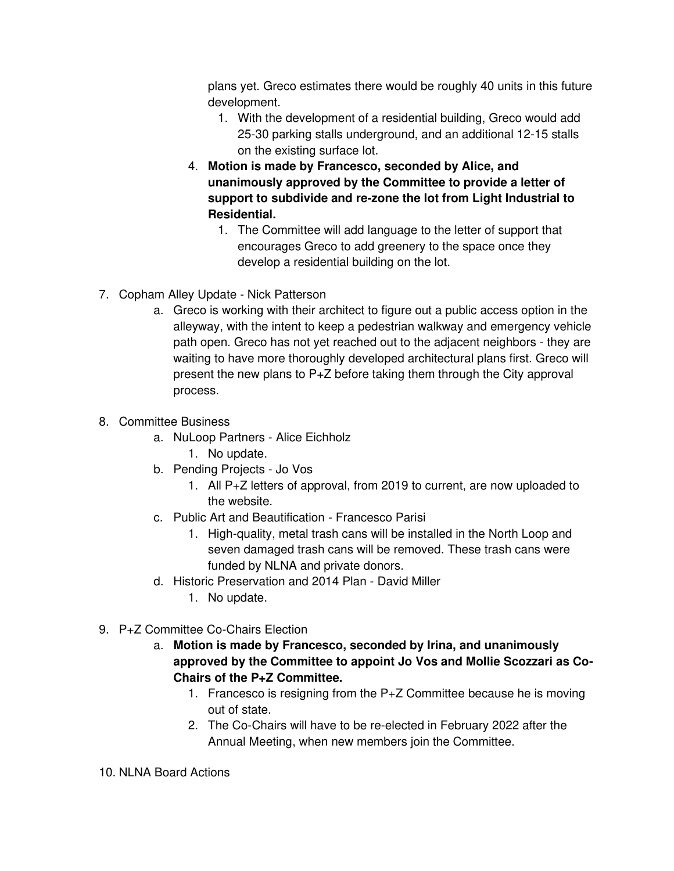plans yet. Greco estimates there would be roughly 40 units in this future development.

- 1. With the development of a residential building, Greco would add 25-30 parking stalls underground, and an additional 12-15 stalls on the existing surface lot.
- 4. **Motion is made by Francesco, seconded by Alice, and unanimously approved by the Committee to provide a letter of support to subdivide and re-zone the lot from Light Industrial to Residential.** 
	- 1. The Committee will add language to the letter of support that encourages Greco to add greenery to the space once they develop a residential building on the lot.
- 7. Copham Alley Update Nick Patterson
	- a. Greco is working with their architect to figure out a public access option in the alleyway, with the intent to keep a pedestrian walkway and emergency vehicle path open. Greco has not yet reached out to the adjacent neighbors - they are waiting to have more thoroughly developed architectural plans first. Greco will present the new plans to P+Z before taking them through the City approval process.
- 8. Committee Business
	- a. NuLoop Partners Alice Eichholz 1. No update.
	- b. Pending Projects Jo Vos
		- 1. All P+Z letters of approval, from 2019 to current, are now uploaded to the website.
	- c. Public Art and Beautification Francesco Parisi
		- 1. High-quality, metal trash cans will be installed in the North Loop and seven damaged trash cans will be removed. These trash cans were funded by NLNA and private donors.
	- d. Historic Preservation and 2014 Plan David Miller
		- 1. No update.
- 9. P+Z Committee Co-Chairs Election
	- a. **Motion is made by Francesco, seconded by Irina, and unanimously approved by the Committee to appoint Jo Vos and Mollie Scozzari as Co-Chairs of the P+Z Committee.** 
		- 1. Francesco is resigning from the P+Z Committee because he is moving out of state.
		- 2. The Co-Chairs will have to be re-elected in February 2022 after the Annual Meeting, when new members join the Committee.
- 10. NLNA Board Actions